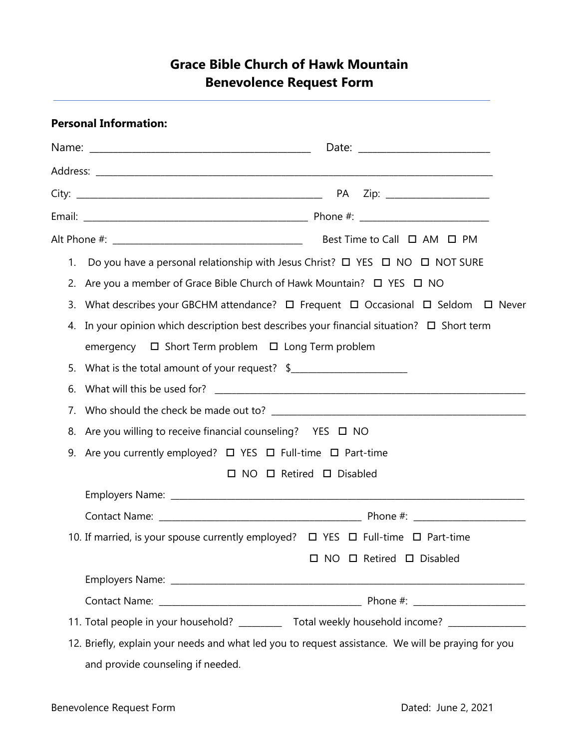# **Grace Bible Church of Hawk Mountain Benevolence Request Form**

# **Personal Information:**

| 1. | Do you have a personal relationship with Jesus Christ? $\Box$ YES $\Box$ NO $\Box$ NOT SURE           |  |  |
|----|-------------------------------------------------------------------------------------------------------|--|--|
|    | 2. Are you a member of Grace Bible Church of Hawk Mountain? □ YES □ NO                                |  |  |
|    | 3. What describes your GBCHM attendance? $\Box$ Frequent $\Box$ Occasional $\Box$ Seldom $\Box$ Never |  |  |
|    | 4. In your opinion which description best describes your financial situation? $\Box$ Short term       |  |  |
|    | emergency □ Short Term problem □ Long Term problem                                                    |  |  |
|    | 5. What is the total amount of your request? \$                                                       |  |  |
| 6. |                                                                                                       |  |  |
| 7. |                                                                                                       |  |  |
|    | 8. Are you willing to receive financial counseling?  YES □ NO                                         |  |  |
|    | 9. Are you currently employed? $\Box$ YES $\Box$ Full-time $\Box$ Part-time                           |  |  |
|    | $\Box$ NO $\Box$ Retired $\Box$ Disabled                                                              |  |  |
|    |                                                                                                       |  |  |
|    |                                                                                                       |  |  |
|    | 10. If married, is your spouse currently employed? $\Box$ YES $\Box$ Full-time $\Box$ Part-time       |  |  |
|    | A D NO D Retired D Disabled                                                                           |  |  |
|    |                                                                                                       |  |  |
|    |                                                                                                       |  |  |
|    | 11. Total people in your household? ___________ Total weekly household income? ____________________   |  |  |
|    | 12. Briefly, explain your needs and what led you to request assistance. We will be praying for you    |  |  |

and provide counseling if needed.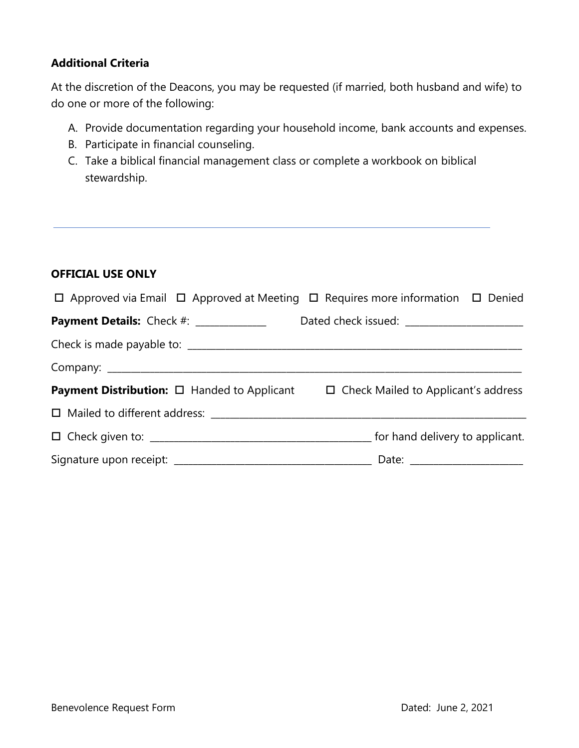# **Additional Criteria**

At the discretion of the Deacons, you may be requested (if married, both husband and wife) to do one or more of the following:

- A. Provide documentation regarding your household income, bank accounts and expenses.
- B. Participate in financial counseling.
- C. Take a biblical financial management class or complete a workbook on biblical stewardship.

#### **OFFICIAL USE ONLY**

| $\Box$ Approved via Email $\Box$ Approved at Meeting $\Box$ Requires more information $\Box$ Denied |                                            |
|-----------------------------------------------------------------------------------------------------|--------------------------------------------|
| <b>Payment Details:</b> Check #: _____________                                                      |                                            |
|                                                                                                     |                                            |
|                                                                                                     |                                            |
| <b>Payment Distribution:</b> $\Box$ Handed to Applicant                                             | $\Box$ Check Mailed to Applicant's address |
|                                                                                                     |                                            |
|                                                                                                     |                                            |
|                                                                                                     | Date: _______________________              |